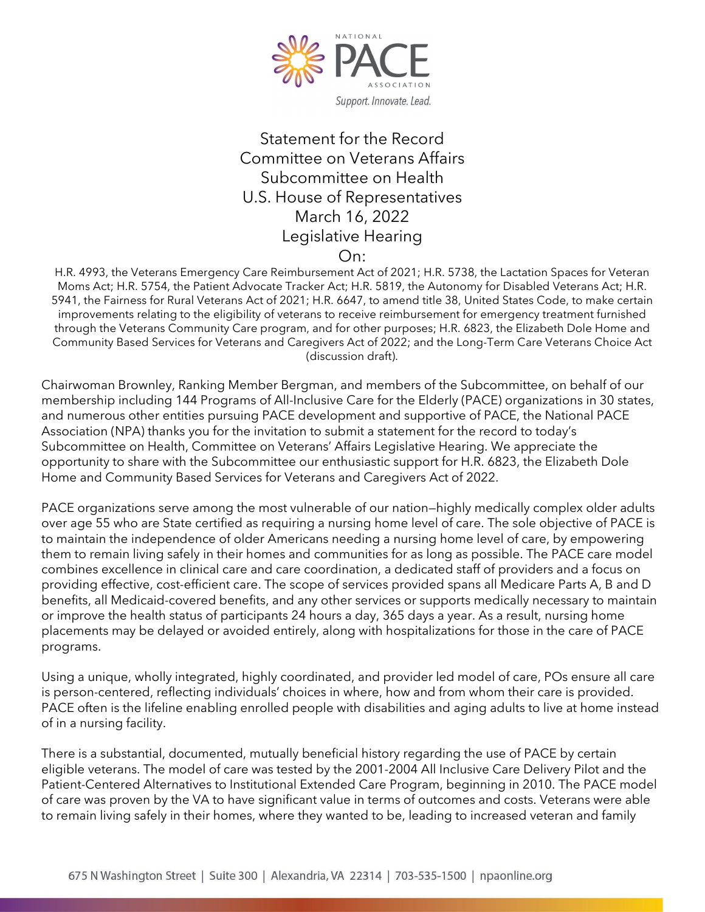

## Statement for the Record Committee on Veterans Affairs Subcommittee on Health U.S. House of Representatives March 16, 2022 Legislative Hearing On:

H.R. 4993, the Veterans Emergency Care Reimbursement Act of 2021; H.R. 5738, the Lactation Spaces for Veteran Moms Act; H.R. 5754, the Patient Advocate Tracker Act; H.R. 5819, the Autonomy for Disabled Veterans Act; H.R. 5941, the Fairness for Rural Veterans Act of 2021; H.R. 6647, to amend title 38, United States Code, to make certain improvements relating to the eligibility of veterans to receive reimbursement for emergency treatment furnished through the Veterans Community Care program, and for other purposes; H.R. 6823, the Elizabeth Dole Home and Community Based Services for Veterans and Caregivers Act of 2022; and the Long-Term Care Veterans Choice Act (discussion draft).

Chairwoman Brownley, Ranking Member Bergman, and members of the Subcommittee, on behalf of our membership including 144 Programs of All-Inclusive Care for the Elderly (PACE) organizations in 30 states, and numerous other entities pursuing PACE development and supportive of PACE, the National PACE Association (NPA) thanks you for the invitation to submit a statement for the record to today's Subcommittee on Health, Committee on Veterans' Affairs Legislative Hearing. We appreciate the opportunity to share with the Subcommittee our enthusiastic support for H.R. 6823, the Elizabeth Dole Home and Community Based Services for Veterans and Caregivers Act of 2022.

PACE organizations serve among the most vulnerable of our nation—highly medically complex older adults over age 55 who are State certified as requiring a nursing home level of care. The sole objective of PACE is to maintain the independence of older Americans needing a nursing home level of care, by empowering them to remain living safely in their homes and communities for as long as possible. The PACE care model combines excellence in clinical care and care coordination, a dedicated staff of providers and a focus on providing effective, cost-efficient care. The scope of services provided spans all Medicare Parts A, B and D benefits, all Medicaid-covered benefits, and any other services or supports medically necessary to maintain or improve the health status of participants 24 hours a day, 365 days a year. As a result, nursing home placements may be delayed or avoided entirely, along with hospitalizations for those in the care of PACE programs.

Using a unique, wholly integrated, highly coordinated, and provider led model of care, POs ensure all care is person-centered, reflecting individuals' choices in where, how and from whom their care is provided. PACE often is the lifeline enabling enrolled people with disabilities and aging adults to live at home instead of in a nursing facility.

There is a substantial, documented, mutually beneficial history regarding the use of PACE by certain eligible veterans. The model of care was tested by the 2001-2004 All Inclusive Care Delivery Pilot and the Patient-Centered Alternatives to Institutional Extended Care Program, beginning in 2010. The PACE model of care was proven by the VA to have significant value in terms of outcomes and costs. Veterans were able to remain living safely in their homes, where they wanted to be, leading to increased veteran and family